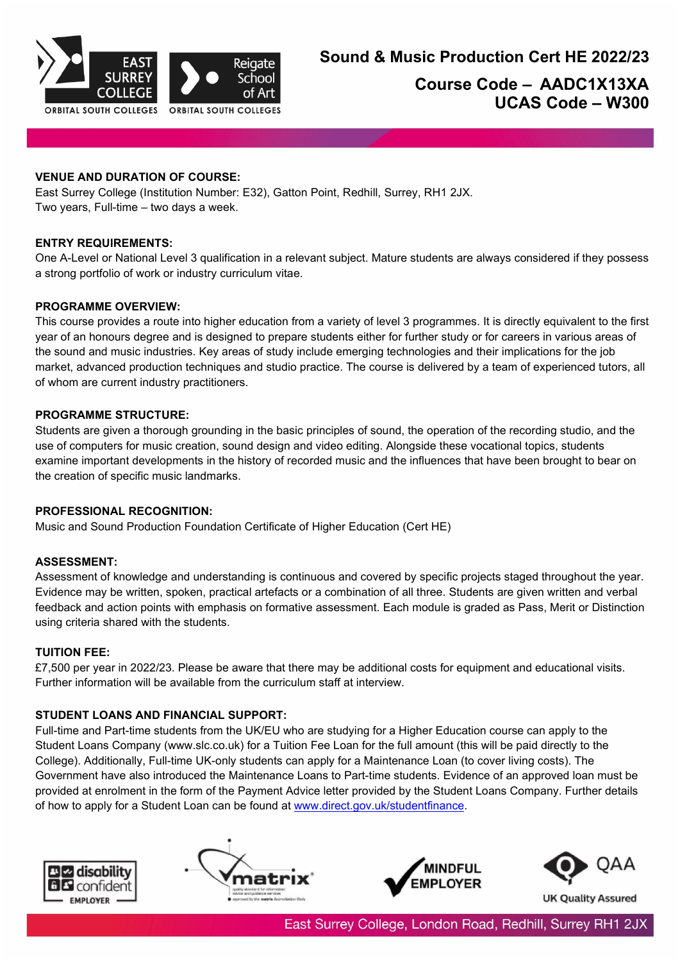

# **Course Code – AADC1X13XA UCAS Code – W300**

# **VENUE AND DURATION OF COURSE:**

East Surrey College (Institution Number: E32), Gatton Point, Redhill, Surrey, RH1 2JX. Two years, Full-time – two days a week.

## **ENTRY REQUIREMENTS:**

One A-Level or National Level 3 qualification in a relevant subject. Mature students are always considered if they possess a strong portfolio of work or industry curriculum vitae.

#### **PROGRAMME OVERVIEW:**

This course provides a route into higher education from a variety of level 3 programmes. It is directly equivalent to the first year of an honours degree and is designed to prepare students either for further study or for careers in various areas of the sound and music industries. Key areas of study include emerging technologies and their implications for the job market, advanced production techniques and studio practice. The course is delivered by a team of experienced tutors, all of whom are current industry practitioners.

#### **PROGRAMME STRUCTURE:**

Students are given a thorough grounding in the basic principles of sound, the operation of the recording studio, and the use of computers for music creation, sound design and video editing. Alongside these vocational topics, students examine important developments in the history of recorded music and the influences that have been brought to bear on the creation of specific music landmarks.

#### **PROFESSIONAL RECOGNITION:**

Music and Sound Production Foundation Certificate of Higher Education (Cert HE)

## **ASSESSMENT:**

Assessment of knowledge and understanding is continuous and covered by specific projects staged throughout the year. Evidence may be written, spoken, practical artefacts or a combination of all three. Students are given written and verbal feedback and action points with emphasis on formative assessment. Each module is graded as Pass, Merit or Distinction using criteria shared with the students.

## **TUITION FEE:**

£7,500 per year in 2022/23. Please be aware that there may be additional costs for equipment and educational visits. Further information will be available from the curriculum staff at interview.

## **STUDENT LOANS AND FINANCIAL SUPPORT:**

Full-time and Part-time students from the UK/EU who are studying for a Higher Education course can apply to the Student Loans Company (www.slc.co.uk) for a Tuition Fee Loan for the full amount (this will be paid directly to the College). Additionally, Full-time UK-only students can apply for a Maintenance Loan (to cover living costs). The Government have also introduced the Maintenance Loans to Part-time students. Evidence of an approved loan must be provided at enrolment in the form of the Payment Advice letter provided by the Student Loans Company. Further details of how to apply for a Student Loan can be found at [www.direct.gov.uk/studentfinance.](http://www.direct.gov.uk/studentfinance)